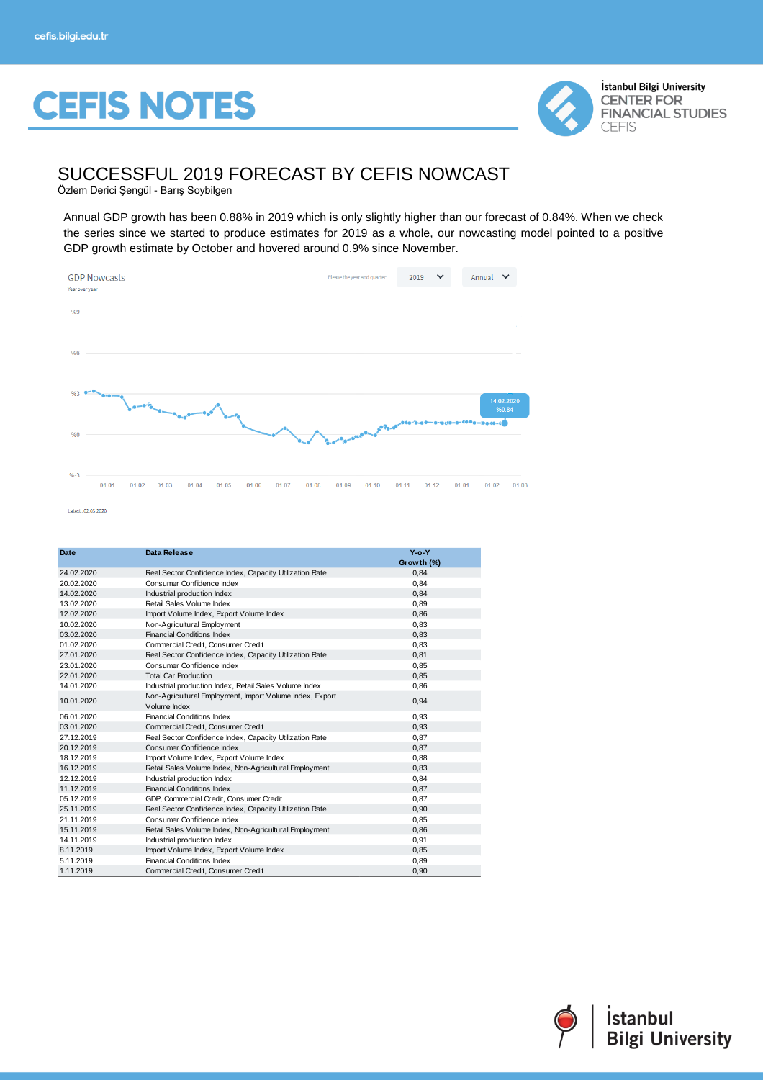



İstanbul<br>Bilgi University

## SUCCESSFUL 2019 FORECAST BY CEFIS NOWCAST

Özlem Derici Şengül - Barış Soybilgen

Annual GDP growth has been 0.88% in 2019 which is only slightly higher than our forecast of 0.84%. When we check the series since we started to produce estimates for 2019 as a whole, our nowcasting model pointed to a positive GDP growth estimate by October and hovered around 0.9% since November.



Latest: 02.03.2020

| Date       | Data Release                                                                         | $Y$ -o- $Y$        |
|------------|--------------------------------------------------------------------------------------|--------------------|
| 24.02.2020 |                                                                                      | Growth (%)<br>0.84 |
| 20.02.2020 | Real Sector Confidence Index, Capacity Utilization Rate<br>Consumer Confidence Index | 0,84               |
|            |                                                                                      |                    |
| 14.02.2020 | Industrial production Index                                                          | 0.84               |
| 13.02.2020 | Retail Sales Volume Index                                                            | 0.89               |
| 12.02.2020 | Import Volume Index, Export Volume Index                                             | 0,86               |
| 10.02.2020 | Non-Agricultural Employment                                                          | 0,83               |
| 03.02.2020 | <b>Financial Conditions Index</b>                                                    | 0,83               |
| 01.02.2020 | Commercial Credit. Consumer Credit                                                   | 0.83               |
| 27.01.2020 | Real Sector Confidence Index, Capacity Utilization Rate                              | 0,81               |
| 23.01.2020 | Consumer Confidence Index                                                            | 0,85               |
| 22.01.2020 | <b>Total Car Production</b>                                                          | 0.85               |
| 14.01.2020 | Industrial production Index, Retail Sales Volume Index                               | 0.86               |
| 10.01.2020 | Non-Agricultural Employment, Import Volume Index, Export<br>Volume Index             | 0,94               |
| 06.01.2020 | <b>Financial Conditions Index</b>                                                    | 0.93               |
| 03.01.2020 | Commercial Credit, Consumer Credit                                                   | 0.93               |
| 27.12.2019 | Real Sector Confidence Index, Capacity Utilization Rate                              | 0.87               |
| 20.12.2019 | Consumer Confidence Index                                                            | 0.87               |
| 18.12.2019 | Import Volume Index, Export Volume Index                                             | 0.88               |
| 16.12.2019 | Retail Sales Volume Index, Non-Agricultural Employment                               | 0,83               |
| 12.12.2019 | Industrial production Index                                                          | 0,84               |
| 11.12.2019 | <b>Financial Conditions Index</b>                                                    | 0.87               |
| 05.12.2019 | GDP, Commercial Credit, Consumer Credit                                              | 0,87               |
| 25.11.2019 | Real Sector Confidence Index, Capacity Utilization Rate                              | 0.90               |
| 21.11.2019 | Consumer Confidence Index                                                            | 0,85               |
| 15.11.2019 | Retail Sales Volume Index, Non-Agricultural Employment                               | 0,86               |
| 14.11.2019 | Industrial production Index                                                          | 0.91               |
| 8.11.2019  | Import Volume Index, Export Volume Index                                             | 0,85               |
| 5.11.2019  | <b>Financial Conditions Index</b>                                                    | 0,89               |
| 1.11.2019  | Commercial Credit, Consumer Credit                                                   | 0,90               |